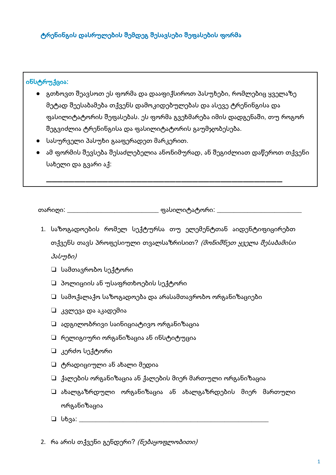#### ინსტრუქცია:

- გთხოვთ შეავსოთ ეს ფორმა და დააფიქსიროთ პასუხები, რომლებიც ყველაზე მეტად შეესაბამება თქვენს დამოკიდებულებას და ასევე ტრენინგისა და ფასილიტატორის შეფასებას. ეს ფორმა გვეხმარება იმის დადგენაში, თუ როგორ შეგვიძლია ტრენინგისა და ფასილიტატორის გაუმჯობესება.
- სასურველი პასუხი გააფერადეთ მარკერით.
- $\bullet$  ამ ფორმის შევსება შესაძლებელია ანონიმურად, ან შეგიძლიათ დაწეროთ თქვენი სახელი და გვარი აქ:

\_\_\_\_\_\_\_\_\_\_\_\_\_\_\_\_\_\_\_\_\_\_\_\_\_\_\_ ფასილიტატორი: \_\_\_\_\_\_\_\_\_\_ თარიღი: \_\_\_\_\_

- 1. საზოგადოების რომელ სექტურსა თუ ელემენტთან აიდენტიფიცირებთ თქვენს თავს პროფესიული თვალსაზრისით? *(მონიშნეთ ყველა შესაბამისი* პასუხი)
	- $\Box$  სამთავრობო სექტორი
	- $\Box$  პოლიციის ან უსაფრთხოების სექტორი
	- $\Box$  სამოქალაქო საზოგადოება და არასამთავრობო ორგანიზაციები
	- ❏ კვლევა და აკადემია
	- $\square$  ადგილობრივი საინიციატივო ორგანიზაცია
	- $\Box$  რელიგიური ორგანიზაცია ან ინსტიტუცია
	- $□$  კერძო სექტორი
	- $\Box$  ტრადიციული ან ახალი მედია
	- $\Box$  ქალების ორგანიზაცია ან ქალების მიერ მართული ორგანიზაცია
	- $\Box$  ახალგაზრდული ორგანიზაცია ან ახალგაზრდების მიერ მართული ორგანიზაცია
	- $\Box$  სხვა: \_\_\_\_\_\_\_\_\_
- 2. რა არის თქვენი გენდერი? *(ნებაყოფლობითი)*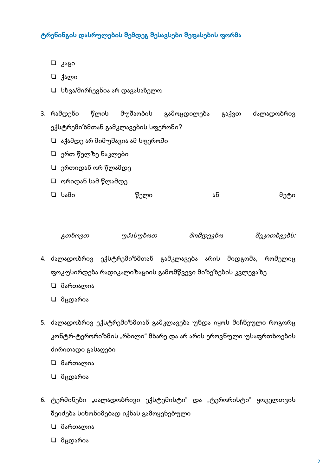- ⊔ კაცი
- ⊡ ქალი
- $\Box$  სხვა/მირჩევნია არ დავასახელო
- წლის მუშაობის გამოცდილება გაქვთ ძალადობრივ 3. რამდენი ექსტრემიზმთან გამკლავების სფეროში?
	- □ აქამდე არ მიმუშავია ამ სფეროში
	- □ ერთ წელზე ნაკლები
	- $\Box$  ერთიდან ორ წლამდე
	- $\Box$  ორიდან სამ წლამდე

| ⊡ სამი | წელი | -<br>ახ | მეტი |
|--------|------|---------|------|
|--------|------|---------|------|

| გთხოვთ | უპასუხოთ | მომდევნო | შეკითხვებს: |
|--------|----------|----------|-------------|
|        |          |          |             |

- 4. ძალადობრივ ექსტრემიზმთან გამკლავება არის მიდგომა, რომელიც ფოკუსირდება რადიკალიზაციის გამომწვევი მიზეზების კვლევაზე
	- □ მართალია
	- □ მცდარია
- 5. ძალადობრივ ექსტრემიზმთან გამკლავება უნდა იყოს მიჩნეული როგორც კონტრ-ტერორიზმის "რბილი" მხარე და არ არის ეროვნული უსაფრთხოების ძირითადი გასაღები
	- □ მართალია
	- □ მცდარია
- 6. ტერმინები "ძალადობრივი ექსტემისტი" და "ტერორისტი" ყოველთვის შეიძება სინონიმებად იქნას გამოყენებული
	- □ მართალია
	- □ მცდარია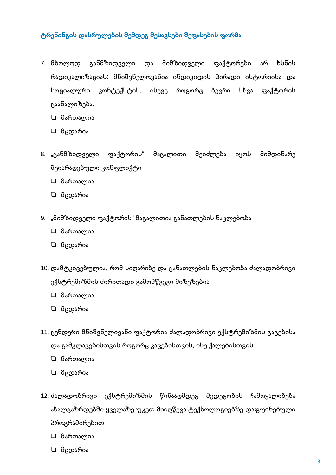- 7. მხოლოდ განმზიდველი და მიმზიდველი ფაქტორები არ ხსნის რადიკალიზაციას: მნიშვნელოვანია ინდივიდის პირადი ისტორიისა და სოციალური კონტექსტის, ისევე როგორც ბევრი სხვა ფაქტორის გაანალიზება.
	- □ მართალია
	- □ მცდარია
- 8. "განმზიდველი ფაქტორის" მაგალითი შეიძლება იყოს მიმდინარე შეიარაღებული კონფლიქტი
	- □ მართალია
	- □ მცდარია
- 9. "მიმზიდველი ფაქტორის" მაგალითია განათლების ნაკლებობა
	- □ მართალია
	- □ მცდარია
- 10. დამტკიცებულია, რომ სიღარიბე და განათლების ნაკლებობა ძალადობრივი ექსტრემიზმის ძირითადი გამომწვევი მიზეზებია
	- □ მართალია
	- □ მცდარია
- 11. გენდერი მნიშვნელივანი ფაქტორია ძალადობრივი ექსტრემიზმის გაგებისა და გამკლავებისთვის როგორც კაცებისთვის, ისე ქალებისთვის
	- □ მართალია
	- □ მცდარია
- 12. ძალადობრივი ექსტრემიზმის წინააღმდეგ მედეგობის ჩამოყალიბება ახალგაზრდებში ყველაზე უკეთ მიიღწევა ტექნოლოგიებზე დაფუძნებული პროგრამირებით
	- □ მართალია
	- □ მცდარია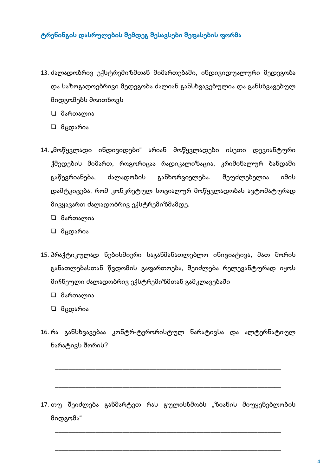- 13. ძალადობრივ ექსტრემიზმთან მიმართებაში, ინდივიდუალური მედეგობა და საზოგადოებრივი მედეგობა ძალიან განსხვავებულია და განსხვავებულ მიდგომებს მოითხოვს
	- □ მართალია
	- □ მცდარია
- 14. "მოწყვლადი ინდივიდები" არიან მოწყვლადები ისეთი დევიანტური ქმედების მიმართ, როგორიცაა რადიკალიზაცია, კრიმინალურ ბანდაში გაწევრიანება, ძალადობის განხორციელება. შეუძლებელია იმის დამტკიცება, რომ კონკრეტულ სოციალურ მოწყვლადობას ავტომატურად მივყავართ ძალადობრივ ექსტრემიზმამდე.
	- □ მართალია
	- □ მცდარია
- 15. პრაქტიკულად ნებისმიერი საგანმანათლებლო ინიციატივა, მათ შორის განათლებასთან წვდომის გაფართოება, შეიძლება რელევანტურად იყოს მიჩნეული ძალადობრივ ექსტრემიზმთან გამკლავებაში
	- □ მართალია
	- □ მცდარია
- 16. რა განსხვავებაა კონტრ-ტერორისტულ ნარატივსა და ალტერნატიულ ნარატივს შორის?

17. თუ შეიძლება განმარტეთ რას გულისხმობს "ზიანის მიუყენებლობის მიდგომა"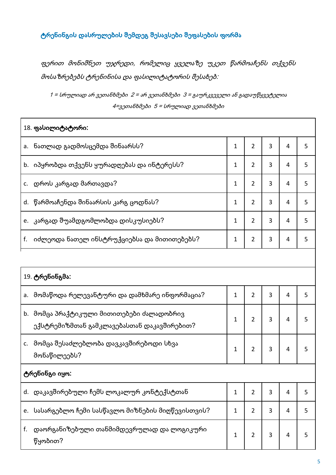ფერით მონიშნეთ უჯრედი, რომელიც ყველაზე უკეთ წარმოაჩენს თქვენს მოსაზრებებს ტრენინისა და ფასილიტატორის შესახებ:

1 = სრულიად არ ვეთანხმები 2 = არ ვეთანხმები 3 = გაურკვეველი ან გადაუწყვეტელია 4=ვეთანხმები 5 = სრულიად ვეთანხმები

| 18. ფასილიტატორი:                                                                       |              |                |   |   |   |
|-----------------------------------------------------------------------------------------|--------------|----------------|---|---|---|
| ნათლად გადმოსცემდა შინაარსს?<br>a.                                                      | 1            | $\overline{2}$ | 3 | 4 | 5 |
| იპყრობდა თქვენს ყურადღებას და ინტერესს?<br>b.                                           | 1            | $\overline{2}$ | 3 | 4 | 5 |
| დროს კარგად მართავდა?<br>c.                                                             | 1            | $\overline{2}$ | 3 | 4 | 5 |
| წარმოაჩენდა შინაარსის კარგ ცოდნას?<br>d.                                                | 1            | 2              | 3 | 4 | 5 |
| კარგად შუამდგომლობდა დისკუსიებს?<br>e.                                                  | 1            | $\overline{2}$ | 3 | 4 | 5 |
| იძლეოდა ნათელ ინსტრუქციებსა და მითითებებს?<br>f.                                        | $\mathbf{1}$ | $\overline{2}$ | 3 | 4 | 5 |
|                                                                                         |              |                |   |   |   |
| 19. ტრენინგმა:                                                                          |              |                |   |   |   |
| მომაწოდა რელევანტური და დამხმარე ინფორმაცია?<br>a.                                      | $\mathbf{1}$ | $\overline{2}$ | 3 | 4 | 5 |
| b. მომცა პრაქტიკული მითითებები ძალადობრივ<br>ექსტრემიზმთან გამკლავებასთან დაკავშირებით? | 1            | $\overline{2}$ | 3 | 4 | 5 |
| მომცა შესაძლებლობა დავკავშირებოდი სხვა<br>c.<br>მონაწილეებს?                            | $\mathbf{1}$ | $\overline{2}$ | 3 | 4 | 5 |
| ტრენინგი იყო:                                                                           |              |                |   |   |   |
| d. დაკავშირებული ჩემს ლოკალურ კონტექსტთან                                               | $\mathbf{1}$ | $\overline{2}$ | 3 | 4 | 5 |
| სასარგებლო ჩემი სასწავლო მიზნების მიღწევისთვის?<br>e.                                   | $\mathbf{1}$ | $\overline{2}$ | 3 | 4 | 5 |
| დაორგანიზებული თანმიმდევრულად და ლოგიკური<br>f.<br>წყობით?                              | 1            | $\overline{2}$ | 3 | 4 | 5 |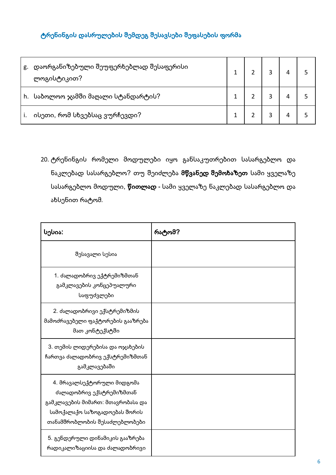| დაორგანიზებული შეუფერხებლად შესაფერისი<br>g.<br>ლოგისტიკით? |  |  |  |
|-------------------------------------------------------------|--|--|--|
| h. საბოლოო ჯამში მაღალი სტანდარტის?                         |  |  |  |
| ისეთი, რომ სხვებსაც ვურჩევდი?                               |  |  |  |

20. ტრენინგის რომელი მოდულები იყო განსაკუთრებით სასარგებლო და ნაკლებად სასარგებლო? თუ შეიძლება მწვანედ შემოხაზეთ სამი ყველაზე სასარგებლო მოდული, წითლად - სამი ყველაზე ნაკლებად სასარგებლო და ახსენით რატომ.

| სესია:                                                                                                                                                        | რატომ? |
|---------------------------------------------------------------------------------------------------------------------------------------------------------------|--------|
| შესავალი სესია                                                                                                                                                |        |
| 1. ძალადობრივ ექტრემიზმთან<br>გამკლავების კონცეპუალური<br>საფუძვლები                                                                                          |        |
| 2. ძალადობრივი ექსტრემიზმის<br>მამოძრავებელი ფაქტორების გააზრება<br>მათ კონტექსტში                                                                            |        |
| 3. თემის ლიდერებისა და ოჯახების<br>ჩართვა ძალადობრივ ექსტრემიზმთან<br>გამკლავებაში                                                                            |        |
| 4. მრავალსექტორული მიდგომა<br>ძალადობრივ ექსტრემიზმთან<br>გამკლავების მიმართ: მთავრობასა და<br>სამოქალაქო საზოგადოებას შორის<br>თანამშრობლობის შესაძლებლობები |        |
| 5. გენდერული დინამიკის გააზრება<br>რადიკალიზაციისა და ძალადობრივი                                                                                             |        |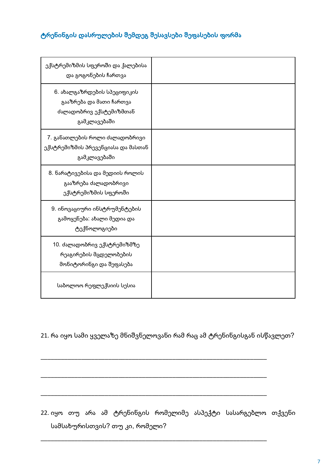| ექსტრემიზმის სფეროში და ქალებისა<br>და გოგონების ჩართვა                                           |  |
|---------------------------------------------------------------------------------------------------|--|
| 6. ახალგაზრდების სპეციფიკის<br>გააზრება და მათი ჩართვა<br>ძალადობრივ ექსტემიზმთან<br>გამკლავებაში |  |
| 7. განათლების როლი ძალადობრივი<br>ექსტრემიზმის პრევენციასა და მასთან<br>გამკლავებაში              |  |
| 8. ნარატივებისა და მედიის როლის<br>გააზრება ძალადობრივი<br>ექსტრემიზმის სფეროში                   |  |
| 9. ინოვაციური ინსტრუმენტების<br>გამოყენება: ახალი მედია და<br>ტექნოლოგიები                        |  |
| 10. ძალადობრივ ექსტრემიზმზე<br>რეაგირების მცდელობების<br>მონიტორინგი და შეფასება                  |  |
| საბოლოო რეფლექსიის სესია                                                                          |  |

21. რა იყო სამი ყველაზე მნიშვნელოვანი რამ რაც ამ ტრენინგისგან ისწავლეთ?

22. იყო თუ არა ამ ტრენინგის რომელიმე ასპექტი სასარგებლო თქვენი სამსახურისთვის? თუ კი, რომელი?